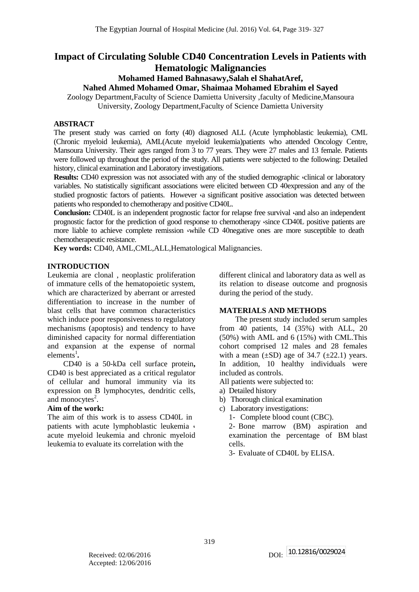# **Impact of Circulating Soluble CD40 Concentration Levels in Patients with Hematologic Malignancies**

# **Mohamed Hamed Bahnasawy,Salah el ShahatAref,**

**Nahed Ahmed Mohamed Omar, Shaimaa Mohamed Ebrahim el Sayed**

Zoology Department,Faculty of Science Damietta University ,faculty of Medicine,Mansoura University, Zoology Department,Faculty of Science Damietta University

## **ABSTRACT**

The present study was carried on forty (40) diagnosed ALL (Acute lymphoblastic leukemia), CML (Chronic myeloid leukemia), AML(Acute myeloid leukemia)patients who attended Oncology Centre, Mansoura University. Their ages ranged from 3 to 77 years. They were 27 males and 13 female. Patients were followed up throughout the period of the study. All patients were subjected to the following: Detailed history, clinical examination and Laboratory investigations.

**Results:** CD40 expression was not associated with any of the studied demographic  $\cdot$ clinical or laboratory variables. No statistically significant associations were elicited between CD 40expression and any of the studied prognostic factors of patients. However  $\alpha$  significant positive association was detected between patients who responded to chemotherapy and positive CD40L.

**Conclusion:** CD40L is an independent prognostic factor for relapse free survival  $\alpha$  and also an independent prognostic factor for the prediction of good response to chemotherapy  $\cdot$ since CD40L positive patients are more liable to achieve complete remission while CD 40negative ones are more susceptible to death chemotherapeutic resistance.

**Key words:** CD40, AML,CML,ALL,Hematological Malignancies.

## **INTRODUCTION**

Leukemia are clonal , neoplastic proliferation of immature cells of the hematopoietic system, which are characterized by aberrant or arrested differentiation to increase in the number of blast cells that have common characteristics which induce poor responsiveness to regulatory mechanisms (apoptosis) and tendency to have diminished capacity for normal differentiation and expansion at the expense of normal  $element$ <sup>1</sup>.

CD40 is a 50-kDa cell surface protein**,** CD40 is best appreciated as a critical regulator of cellular and humoral immunity via its expression on B lymphocytes, dendritic cells, and monocytes $2$ .

## **Aim of the work:**

The aim of this work is to assess CD40L in patients with acute lymphoblastic leukemia  $\cdot$ acute myeloid leukemia and chronic myeloid leukemia to evaluate its correlation with the

different clinical and laboratory data as well as its relation to disease outcome and prognosis during the period of the study.

## **MATERIALS AND METHODS**

The present study included serum samples from 40 patients, 14 (35%) with ALL, 20 (50%) with AML and 6 (15%) with CML.This cohort comprised 12 males and 28 females with a mean  $(\pm SD)$  age of 34.7  $(\pm 22.1)$  years. In addition, 10 healthy individuals were included as controls.

- All patients were subjected to:
- a) Detailed history
- b) Thorough clinical examination
- c) Laboratory investigations:
	- 1- Complete blood count (CBC).
	- 2- Bone marrow (BM) aspiration and examination the percentage of BM blast cells.

3- Evaluate of CD40L by ELISA.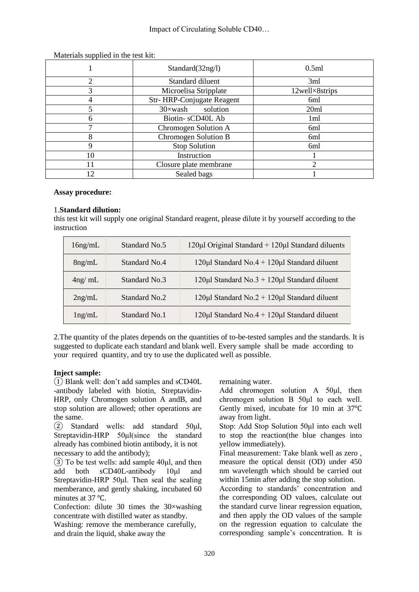|    | Standard(32ng/l)             | 0.5ml          |
|----|------------------------------|----------------|
| ◠  | Standard diluent             | 3ml            |
| 3  | Microelisa Stripplate        | 12well×8strips |
|    | Str-HRP-Conjugate Reagent    | 6ml            |
|    | solution<br>$30 \times$ wash | 20ml           |
| 6  | Biotin-sCD40L Ab             | 1ml            |
|    | Chromogen Solution A         | 6ml            |
| 8  | Chromogen Solution B         | 6ml            |
| 9  | Stop Solution                | 6ml            |
| 10 | Instruction                  |                |
| 11 | Closure plate membrane       |                |
| 12 | Sealed bags                  |                |

Materials supplied in the test kit:

#### **Assay procedure:**

#### 1.**Standard dilution:**

this test kit will supply one original Standard reagent, please dilute it by yourself according to the instruction

| $16$ ng/mL | Standard No.5 | $120\mu$ l Original Standard + $120\mu$ l Standard diluents |
|------------|---------------|-------------------------------------------------------------|
| $8$ ng/mL  | Standard No.4 | $120\mu$ l Standard No.4 + $120\mu$ l Standard diluent      |
| $4$ ng/ mL | Standard No.3 | 120µl Standard No.3 + 120µl Standard diluent                |
| $2$ ng/mL  | Standard No.2 | $120\mu$ I Standard No.2 + $120\mu$ I Standard diluent      |
| lng/mL     | Standard No.1 | 120µl Standard No.4 + 120µl Standard diluent                |

2.The quantity of the plates depends on the quantities of to-be-tested samples and the standards. It is suggested to duplicate each standard and blank well. Every sample shall be made according to your required quantity, and try to use the duplicated well as possible.

#### **Inject sample:**

① Blank well: don't add samples and sCD40L -antibody labeled with biotin, Streptavidin-HRP, only Chromogen solution A andB, and stop solution are allowed; other operations are the same.

② Standard wells: add standard 50μl, Streptavidin-HRP 50μl(since the standard already has combined biotin antibody, it is not necessary to add the antibody);

 $\overline{3}$  To be test wells: add sample 40μl, and then add both sCD40L-antibody 10μl and Streptavidin-HRP 50μl. Then seal the sealing memberance, and gently shaking, incubated 60 minutes at 37 °C.

Confection: dilute 30 times the 30×washing concentrate with distilled water as standby.

Washing: remove the memberance carefully, and drain the liquid, shake away the

remaining water.

Add chromogen solution A 50μl, then chromogen solution B 50μl to each well. Gently mixed, incubate for 10 min at 37℃ away from light.

Stop: Add Stop Solution 50μl into each well to stop the reaction(the blue changes into yellow immediately).

Final measurement: Take blank well as zero , measure the optical densit (OD) under 450 nm wavelength which should be carried out within 15min after adding the stop solution.

According to standards' concentration and the corresponding OD values, calculate out the standard curve linear regression equation, and then apply the OD values of the sample on the regression equation to calculate the corresponding sample's concentration. It is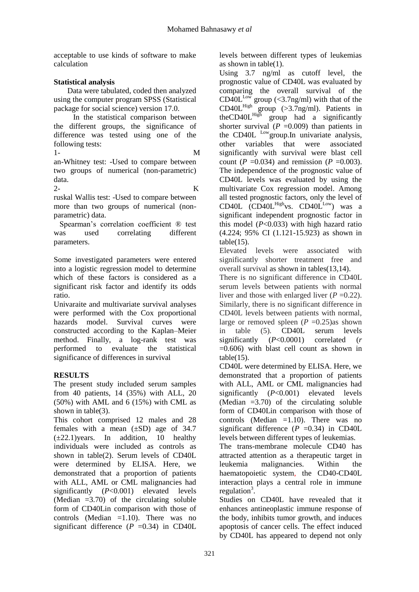acceptable to use kinds of software to make calculation

# **Statistical analysis**

 Data were tabulated, coded then analyzed using the computer program SPSS (Statistical package for social science) version 17.0.

 In the statistical comparison between the different groups, the significance of difference was tested using one of the following tests:

1- M an-Whitney test: -Used to compare between two groups of numerical (non-parametric) data.

 $2$ ruskal Wallis test: -Used to compare between more than two groups of numerical (nonparametric) data.

 Spearman's correlation coefficient ® test was used correlating different parameters.

Some investigated parameters were entered into a logistic regression model to determine which of these factors is considered as a significant risk factor and identify its odds ratio.

Univaraite and multivariate survival analyses were performed with the Cox proportional hazards model. Survival curves were constructed according to the Kaplan–Meier method. Finally, a log-rank test was performed to evaluate the statistical significance of differences in survival

# **RESULTS**

The present study included serum samples from 40 patients, 14 (35%) with ALL, 20 (50%) with AML and 6 (15%) with CML as shown in table(3).

This cohort comprised 12 males and 28 females with a mean  $(\pm SD)$  age of 34.7  $(\pm 22.1)$ years. In addition, 10 healthy individuals were included as controls as shown in table(2). Serum levels of CD40L were determined by ELISA. Here, we demonstrated that a proportion of patients with ALL, AML or CML malignancies had significantly (*P*<0.001) elevated levels (Median =3.70) of the circulating soluble form of CD40Lin comparison with those of controls (Median =1.10). There was no significant difference  $(P = 0.34)$  in CD40L

levels between different types of leukemias as shown in table(1).

Using 3.7 ng/ml as cutoff level, the prognostic value of CD40L was evaluated by comparing the overall survival of the  $CD40L^{\text{Low}}$  group (<3.7ng/ml) with that of the  $CD40L<sup>High</sup>$  group (>3.7ng/ml). Patients in theCD40L<sup>High</sup> group had a significantly shorter survival  $(P = 0.009)$  than patients in the CD40L <sup>Low</sup>group.In univariate analysis, other variables that were associated significantly with survival were blast cell count ( $P = 0.034$ ) and remission ( $P = 0.003$ ). The independence of the prognostic value of CD40L levels was evaluated by using the multivariate Cox regression model. Among all tested prognostic factors, only the level of CD40L  $\overline{CD40L}^{\text{High}}$ vs.  $CD40L^{\text{Low}}$  was a significant independent prognostic factor in this model (*P*<0.033) with high hazard ratio (4.224; 95% CI (1.121-15.923) as shown in  $table(15)$ .

Elevated levels were associated with significantly shorter treatment free and overall survival as shown in tables(13,14).

There is no significant difference in CD40L serum levels between patients with normal liver and those with enlarged liver  $(P = 0.22)$ . Similarly, there is no significant difference in CD40L levels between patients with normal, large or removed spleen  $(P = 0.25)$ as shown in table (5). CD40L serum levels significantly (*P*<0.0001) correlated (*r*  $=0.606$ ) with blast cell count as shown in  $table(15)$ .

CD40L were determined by ELISA. Here, we demonstrated that a proportion of patients with ALL, AML or CML malignancies had significantly (*P*<0.001) elevated levels (Median =3.70) of the circulating soluble form of CD40Lin comparison with those of controls (Median =1.10). There was no significant difference  $(P = 0.34)$  in CD40L levels between different types of leukemias.

The trans-membrane molecule CD40 has attracted attention as a therapeutic target in leukemia malignancies. Within the haematopoietic system, the CD40-CD40L interaction plays a central role in immune regulation<sup>3</sup>.

Studies on CD40L have revealed that it enhances antineoplastic immune response of the body, inhibits tumor growth, and induces apoptosis of cancer cells. The effect induced by CD40L has appeared to depend not only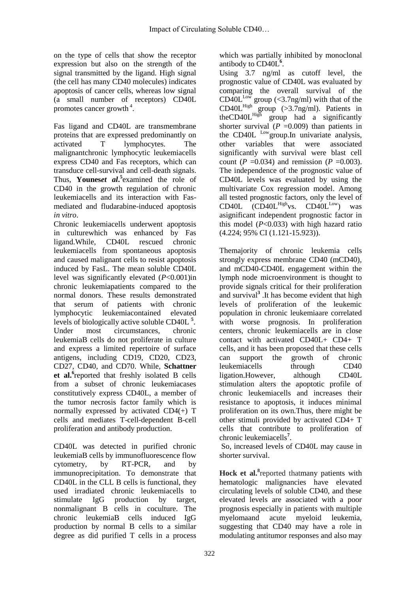on the type of cells that show the receptor expression but also on the strength of the signal transmitted by the ligand. High signal (the cell has many CD40 molecules) indicates apoptosis of cancer cells, whereas low signal (a small number of receptors) CD40L promotes cancer growth<sup>4</sup>.

Fas ligand and CD40L are transmembrane proteins that are expressed predominantly on activated T lymphocytes. The malignantchronic lymphocytic leukemiacells express CD40 and Fas receptors, which can transduce cell-survival and cell-death signals. Thus, **[Younes](http://www.ncbi.nlm.nih.gov/pubmed/?term=Younes%20A%5BAuthor%5D&cauthor=true&cauthor_uid=9450802)***et al***. 5** examined the role of CD40 in the growth regulation of chronic leukemiacells and its interaction with Fasmediated and fludarabine-induced apoptosis *in vitro*.

Chronic leukemiacells underwent apoptosis in culturewhich was enhanced by Fas ligand.While, CD40L rescued chronic leukemiacells from spontaneous apoptosis and caused malignant cells to resist apoptosis induced by FasL. The mean soluble CD40L level was significantly elevated (*P*<0.001)in chronic leukemiapatients compared to the normal donors. These results demonstrated that serum of patients with chronic lymphocytic leukemiacontained elevated levels of biologically active soluble CD40L **<sup>5</sup>** . Under most circumstances, chronic leukemiaB cells do not proliferate in culture and express a limited repertoire of surface antigens, including CD19, CD20, CD23, CD27, CD40, and CD70. While, **[Schattner](http://www.ncbi.nlm.nih.gov/pubmed/?term=Schattner%20EJ%5BAuthor%5D&cauthor=true&cauthor_uid=9531577)** et al.<sup>6</sup> reported that freshly isolated B cells from a subset of chronic leukemiacases constitutively express CD40L, a member of the tumor necrosis factor family which is normally expressed by activated CD4(+) T cells and mediates T-cell-dependent B-cell proliferation and antibody production.

CD40L was detected in purified chronic leukemiaB cells by immunofluorescence flow cytometry, by RT-PCR, and by immunoprecipitation. To demonstrate that CD40L in the CLL B cells is functional, they used irradiated chronic leukemiacells to stimulate IgG production by target, nonmalignant B cells in coculture. The chronic leukemiaB cells induced IgG production by normal B cells to a similar degree as did purified T cells in a process

which was partially inhibited by monoclonal antibody to CD40L**<sup>6</sup>** .

Using 3.7 ng/ml as cutoff level, the prognostic value of CD40L was evaluated by comparing the overall survival of the  $CD40L^{\text{Low}}$  group (<3.7ng/ml) with that of the  $CD40L<sup>High</sup>$  group (>3.7ng/ml). Patients in theCD40L<sup>High</sup> group had a significantly shorter survival  $(P = 0.009)$  than patients in the CD40L <sup>Low</sup>group.In univariate analysis, other variables that were associated significantly with survival were blast cell count ( $P = 0.034$ ) and remission ( $P = 0.003$ ). The independence of the prognostic value of CD40L levels was evaluated by using the multivariate Cox regression model. Among all tested prognostic factors, only the level of  $CD40L$   $(CD40L<sup>High</sup>vs. CD40L<sup>Low</sup>)$  was asignificant independent prognostic factor in this model (*P*<0.033) with high hazard ratio (4.224; 95% CI (1.121-15.923)).

Themajority of chronic leukemia cells strongly express membrane CD40 (mCD40), and mCD40-CD40L engagement within the lymph node microenvironment is thought to provide signals critical for their proliferation and survival**<sup>3</sup>** .It has become evident that high levels of proliferation of the leukemic population in chronic leukemiaare correlated with worse prognosis. In proliferation centers, chronic leukemiacells are in close contact with activated CD40L+ CD4+ T cells, and it has been proposed that these cells can support the growth of chronic leukemiacells through CD40 ligation.However, although CD40L stimulation alters the apoptotic profile of chronic leukemiacells and increases their resistance to apoptosis, it induces minimal proliferation on its own.Thus, there might be other stimuli provided by activated CD4+ T cells that contribute to proliferation of chronic leukemiacells**<sup>7</sup>** .

So, increased levels of CD40L may cause in shorter survival.

Hock et al.<sup>8</sup> reported thatmany patients with hematologic malignancies have elevated circulating levels of soluble CD40, and these elevated levels are associated with a poor prognosis especially in patients with multiple myelomaand acute myeloid leukemia, suggesting that CD40 may have a role in modulating antitumor responses and also may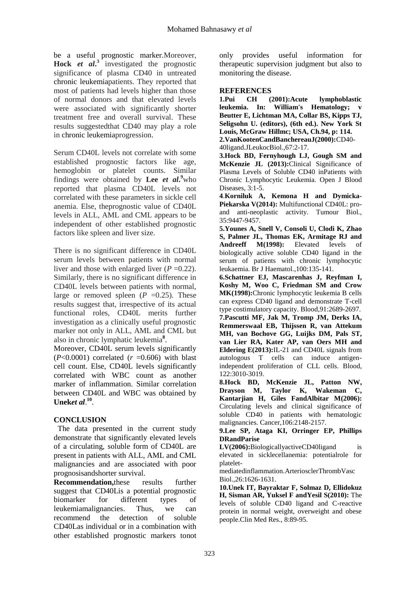be a useful prognostic marker.Moreover, **Hock** *et al***. 3** investigated the prognostic significance of plasma CD40 in untreated chronic leukemiapatients. They reported that most of patients had levels higher than those of normal donors and that elevated levels were associated with significantly shorter treatment free and overall survival. These results suggestedthat CD40 may play a role in chronic leukemiaprogression.

Serum CD40L levels not correlate with some established prognostic factors like age, hemoglobin or platelet counts. Similar findings were obtained by Lee  $et$   $al.^9$ who reported that plasma CD40L levels not correlated with these parameters in sickle cell anemia. Else, theprognostic value of CD40L levels in ALL, AML and CML appears to be independent of other established prognostic factors like spleen and liver size.

There is no significant difference in CD40L serum levels between patients with normal liver and those with enlarged liver  $(P = 0.22)$ . Similarly, there is no significant difference in CD40L levels between patients with normal, large or removed spleen  $(P = 0.25)$ . These results suggest that, irrespective of its actual functional roles, CD40L merits further investigation as a clinically useful prognostic marker not only in ALL, AML and CML but also in chronic lymphatic leukemia**<sup>8</sup>** .

Moreover, CD40L serum levels significantly  $(P<0.0001)$  correlated  $(r = 0.606)$  with blast cell count. Else, CD40L levels significantly correlated with WBC count as another marker of inflammation. Similar correlation between CD40L and WBC was obtained by Unek*et al*.<sup>10</sup>.

# **CONCLUSION**

The data presented in the current study demonstrate that significantly elevated levels of a circulating, soluble form of CD40L are present in patients with ALL, AML and CML malignancies and are associated with poor prognosisandshorter survival.

**Recommendation,**these results further suggest that CD40Lis a potential prognostic biomarker for different types of leukemiamalignancies. Thus, we can recommend the detection of soluble CD40Las individual or in a combination with other established prognostic markers tonot only provides useful information for therapeutic supervision judgment but also to monitoring the disease.

## **REFERENCES**

**1.Pui CH (2001):Acute lymphoblastic leukemia. In: William's Hematology; v Beutter E, Lichtman MA, Collar BS, Kipps TJ, Seligsohn U. (editors), (6th ed.). New York St Louis, McGraw Hillmc; USA, Ch.94, p: 114. 2.VanKootenCandBanchereauJ(2000):**CD40- 40ligand.JLeukocBiol.,67:2-17.

**3.Hock BD, Fernyhough LJ, Gough SM and McKenzie JL (2013):**Clinical Significance of Plasma Levels of Soluble CD40 inPatients with Chronic Lymphocytic Leukemia. Open J Blood Diseases, 3:1-5.

**4**.**[Korniluk A,](http://www.ncbi.nlm.nih.gov/pubmed/?term=Korniluk%20A%5BAuthor%5D&cauthor=true&cauthor_uid=25117071) [Kemona H](http://www.ncbi.nlm.nih.gov/pubmed/?term=Kemona%20H%5BAuthor%5D&cauthor=true&cauthor_uid=25117071) and [Dymicka-](http://www.ncbi.nlm.nih.gov/pubmed/?term=Dymicka-Piekarska%20V%5BAuthor%5D&cauthor=true&cauthor_uid=25117071)[Piekarska V\(](http://www.ncbi.nlm.nih.gov/pubmed/?term=Dymicka-Piekarska%20V%5BAuthor%5D&cauthor=true&cauthor_uid=25117071)2014):** Multifunctional CD40L: proand anti-neoplastic activity. [Tumour Biol.,](http://www.ncbi.nlm.nih.gov/pubmed/?term=Tumor+Biol.+%282014%29+35%3A9447%E2%80%939457) 35:9447-9457.

**5[.Younes A,](http://www.ncbi.nlm.nih.gov/pubmed/?term=Younes%20A%5BAuthor%5D&cauthor=true&cauthor_uid=9450802) [Snell V,](http://www.ncbi.nlm.nih.gov/pubmed/?term=Snell%20V%5BAuthor%5D&cauthor=true&cauthor_uid=9450802) [Consoli U,](http://www.ncbi.nlm.nih.gov/pubmed/?term=Consoli%20U%5BAuthor%5D&cauthor=true&cauthor_uid=9450802) [Clodi K,](http://www.ncbi.nlm.nih.gov/pubmed/?term=Clodi%20K%5BAuthor%5D&cauthor=true&cauthor_uid=9450802) [Zhao](http://www.ncbi.nlm.nih.gov/pubmed/?term=Zhao%20S%5BAuthor%5D&cauthor=true&cauthor_uid=9450802)  [S,](http://www.ncbi.nlm.nih.gov/pubmed/?term=Zhao%20S%5BAuthor%5D&cauthor=true&cauthor_uid=9450802) [Palmer JL,](http://www.ncbi.nlm.nih.gov/pubmed/?term=Palmer%20JL%5BAuthor%5D&cauthor=true&cauthor_uid=9450802) [Thomas EK,](http://www.ncbi.nlm.nih.gov/pubmed/?term=Thomas%20EK%5BAuthor%5D&cauthor=true&cauthor_uid=9450802) [Armitage RJ](http://www.ncbi.nlm.nih.gov/pubmed/?term=Armitage%20RJ%5BAuthor%5D&cauthor=true&cauthor_uid=9450802) and [Andreeff M\(](http://www.ncbi.nlm.nih.gov/pubmed/?term=Andreeff%20M%5BAuthor%5D&cauthor=true&cauthor_uid=9450802)1998):** Elevated levels of biologically active soluble CD40 ligand in the serum of patients with chronic lymphocytic leukaemia. [Br J Haematol.,](http://www.ncbi.nlm.nih.gov/pubmed/9450802)100:135-141.

**6[.Schattner EJ,](http://www.ncbi.nlm.nih.gov/pubmed/?term=Schattner%20EJ%5BAuthor%5D&cauthor=true&cauthor_uid=9531577) [Mascarenhas J,](http://www.ncbi.nlm.nih.gov/pubmed/?term=Mascarenhas%20J%5BAuthor%5D&cauthor=true&cauthor_uid=9531577) [Reyfman I,](http://www.ncbi.nlm.nih.gov/pubmed/?term=Reyfman%20I%5BAuthor%5D&cauthor=true&cauthor_uid=9531577) [Koshy M,](http://www.ncbi.nlm.nih.gov/pubmed/?term=Koshy%20M%5BAuthor%5D&cauthor=true&cauthor_uid=9531577) [Woo C,](http://www.ncbi.nlm.nih.gov/pubmed/?term=Woo%20C%5BAuthor%5D&cauthor=true&cauthor_uid=9531577) [Friedman SM](http://www.ncbi.nlm.nih.gov/pubmed/?term=Friedman%20SM%5BAuthor%5D&cauthor=true&cauthor_uid=9531577) and [Crow](http://www.ncbi.nlm.nih.gov/pubmed/?term=Crow%20MK%5BAuthor%5D&cauthor=true&cauthor_uid=9531577)  [MK\(](http://www.ncbi.nlm.nih.gov/pubmed/?term=Crow%20MK%5BAuthor%5D&cauthor=true&cauthor_uid=9531577)1998):**Chronic lymphocytic leukemia B cells can express CD40 ligand and demonstrate T-cell type costimulatory capacity. [Blood,](http://www.ncbi.nlm.nih.gov/pubmed/9531577)91:2689-2697.

**7[.Pascutti MF,](http://www.ncbi.nlm.nih.gov/pubmed/?term=Pascutti%20MF%5BAuthor%5D&cauthor=true&cauthor_uid=24014238) [Jak M,](http://www.ncbi.nlm.nih.gov/pubmed/?term=Jak%20M%5BAuthor%5D&cauthor=true&cauthor_uid=24014238) [Tromp JM,](http://www.ncbi.nlm.nih.gov/pubmed/?term=Tromp%20JM%5BAuthor%5D&cauthor=true&cauthor_uid=24014238) [Derks IA,](http://www.ncbi.nlm.nih.gov/pubmed/?term=Derks%20IA%5BAuthor%5D&cauthor=true&cauthor_uid=24014238) [Remmerswaal EB,](http://www.ncbi.nlm.nih.gov/pubmed/?term=Remmerswaal%20EB%5BAuthor%5D&cauthor=true&cauthor_uid=24014238) [Thijssen R,](http://www.ncbi.nlm.nih.gov/pubmed/?term=Thijssen%20R%5BAuthor%5D&cauthor=true&cauthor_uid=24014238) [van Attekum](http://www.ncbi.nlm.nih.gov/pubmed/?term=van%20Attekum%20MH%5BAuthor%5D&cauthor=true&cauthor_uid=24014238)  [MH,](http://www.ncbi.nlm.nih.gov/pubmed/?term=van%20Attekum%20MH%5BAuthor%5D&cauthor=true&cauthor_uid=24014238) [van Bochove GG,](http://www.ncbi.nlm.nih.gov/pubmed/?term=van%20Bochove%20GG%5BAuthor%5D&cauthor=true&cauthor_uid=24014238) [Luijks DM,](http://www.ncbi.nlm.nih.gov/pubmed/?term=Luijks%20DM%5BAuthor%5D&cauthor=true&cauthor_uid=24014238) [Pals ST,](http://www.ncbi.nlm.nih.gov/pubmed/?term=Pals%20ST%5BAuthor%5D&cauthor=true&cauthor_uid=24014238) [van Lier RA,](http://www.ncbi.nlm.nih.gov/pubmed/?term=van%20Lier%20RA%5BAuthor%5D&cauthor=true&cauthor_uid=24014238) [Kater AP,](http://www.ncbi.nlm.nih.gov/pubmed/?term=Kater%20AP%5BAuthor%5D&cauthor=true&cauthor_uid=24014238) [van Oers MH](http://www.ncbi.nlm.nih.gov/pubmed/?term=van%20Oers%20MH%5BAuthor%5D&cauthor=true&cauthor_uid=24014238) and [Eldering E\(](http://www.ncbi.nlm.nih.gov/pubmed/?term=Eldering%20E%5BAuthor%5D&cauthor=true&cauthor_uid=24014238)2013):**IL-21 and CD40L signals from autologous T cells can induce antigenindependent proliferation of CLL cells. [Blood,](http://www.ncbi.nlm.nih.gov/pubmed/?term=IL-21+and+CD40L+signals+from+autologous+T+cells+can+induce+antigen-independent+proliferation+of+CLL+cells) 122:3010-3019.

**8[.Hock BD,](http://www.ncbi.nlm.nih.gov/pubmed/?term=Hock%20BD%5BAuthor%5D&cauthor=true&cauthor_uid=16598754) [McKenzie JL,](http://www.ncbi.nlm.nih.gov/pubmed/?term=McKenzie%20JL%5BAuthor%5D&cauthor=true&cauthor_uid=16598754) [Patton NW,](http://www.ncbi.nlm.nih.gov/pubmed/?term=Patton%20NW%5BAuthor%5D&cauthor=true&cauthor_uid=16598754) [Drayson M,](http://www.ncbi.nlm.nih.gov/pubmed/?term=Drayson%20M%5BAuthor%5D&cauthor=true&cauthor_uid=16598754) [Taylor K,](http://www.ncbi.nlm.nih.gov/pubmed/?term=Taylor%20K%5BAuthor%5D&cauthor=true&cauthor_uid=16598754) [Wakeman C,](http://www.ncbi.nlm.nih.gov/pubmed/?term=Wakeman%20C%5BAuthor%5D&cauthor=true&cauthor_uid=16598754) [Kantarjian H,](http://www.ncbi.nlm.nih.gov/pubmed/?term=Kantarjian%20H%5BAuthor%5D&cauthor=true&cauthor_uid=16598754) [Giles Fa](http://www.ncbi.nlm.nih.gov/pubmed/?term=Giles%20F%5BAuthor%5D&cauthor=true&cauthor_uid=16598754)n[dAlbitar M\(](http://www.ncbi.nlm.nih.gov/pubmed/?term=Albitar%20M%5BAuthor%5D&cauthor=true&cauthor_uid=16598754)2006):** Circulating levels and clinical significance of soluble CD40 in patients with hematologic malignancies. [Cancer,](http://www.ncbi.nlm.nih.gov/pubmed/?term=Circulating+Levels+and+Clinical+Significance+of+Soluble+CD40+in+Patients+with+Hematologic+Malignancies)106:2148-2157.

#### **9[.Lee SP,](http://www.ncbi.nlm.nih.gov/pubmed/?term=Lee%20SP%5BAuthor%5D&cauthor=true&cauthor_uid=16601237) [Ataga KI,](http://www.ncbi.nlm.nih.gov/pubmed/?term=Ataga%20KI%5BAuthor%5D&cauthor=true&cauthor_uid=16601237) [Orringer EP,](http://www.ncbi.nlm.nih.gov/pubmed/?term=Orringer%20EP%5BAuthor%5D&cauthor=true&cauthor_uid=16601237) [Phillips](http://www.ncbi.nlm.nih.gov/pubmed/?term=Phillips%20DR%5BAuthor%5D&cauthor=true&cauthor_uid=16601237)  [DRa](http://www.ncbi.nlm.nih.gov/pubmed/?term=Phillips%20DR%5BAuthor%5D&cauthor=true&cauthor_uid=16601237)n[dParise](http://www.ncbi.nlm.nih.gov/pubmed/?term=Parise%20LV%5BAuthor%5D&cauthor=true&cauthor_uid=16601237)**

**[LV\(](http://www.ncbi.nlm.nih.gov/pubmed/?term=Parise%20LV%5BAuthor%5D&cauthor=true&cauthor_uid=16601237)2006):**BiologicallyactiveCD40ligand is elevated in sicklecellanemia: potentialrole for platelet-

mediatedinflammation[.ArteriosclerThrombVasc](http://www.ncbi.nlm.nih.gov/pubmed/?term=Biologically+Active+CD40+Ligand+Is+Elevated+in+Sickle+Cell+Anemia+Potential+Role+for+Platelet-Mediated+Inflammation)  [Biol.,](http://www.ncbi.nlm.nih.gov/pubmed/?term=Biologically+Active+CD40+Ligand+Is+Elevated+in+Sickle+Cell+Anemia+Potential+Role+for+Platelet-Mediated+Inflammation)26:1626-1631.

**10[.Unek IT,](http://www.ncbi.nlm.nih.gov/pubmed/?term=Unek%20IT%5BAuthor%5D&cauthor=true&cauthor_uid=20660932) [Bayraktar](http://www.ncbi.nlm.nih.gov/pubmed/?term=Bayraktar%20F%5BAuthor%5D&cauthor=true&cauthor_uid=20660932) F, [Solmaz D,](http://www.ncbi.nlm.nih.gov/pubmed/?term=Solmaz%20D%5BAuthor%5D&cauthor=true&cauthor_uid=20660932) [Ellidokuz](http://www.ncbi.nlm.nih.gov/pubmed/?term=Ellidokuz%20H%5BAuthor%5D&cauthor=true&cauthor_uid=20660932)  [H,](http://www.ncbi.nlm.nih.gov/pubmed/?term=Ellidokuz%20H%5BAuthor%5D&cauthor=true&cauthor_uid=20660932) [Sisman AR,](http://www.ncbi.nlm.nih.gov/pubmed/?term=Sisman%20AR%5BAuthor%5D&cauthor=true&cauthor_uid=20660932) [Yuksel F](http://www.ncbi.nlm.nih.gov/pubmed/?term=Yuksel%20F%5BAuthor%5D&cauthor=true&cauthor_uid=20660932) an[dYesil S\(](http://www.ncbi.nlm.nih.gov/pubmed/?term=Yesil%20S%5BAuthor%5D&cauthor=true&cauthor_uid=20660932)2010):** The levels of soluble CD40 ligand and C-reactive protein in normal weight, overweight and obese people[.Clin Med Res.,](http://www.ncbi.nlm.nih.gov/pubmed/?term=PMC2910107) 8:89-95.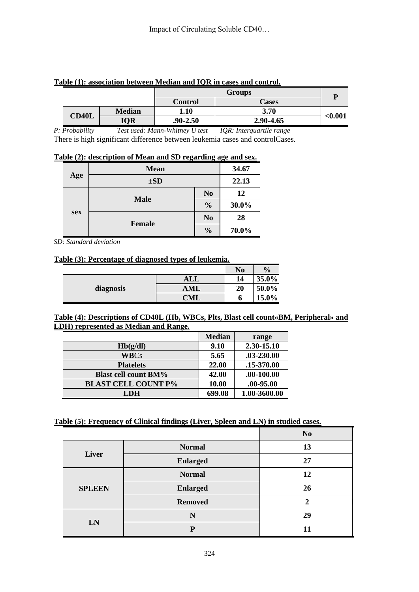|              |               | <b>Groups</b> |           |         |
|--------------|---------------|---------------|-----------|---------|
|              |               | Control       | Cases     |         |
|              | <b>Median</b> | 1.10          | 3.70      |         |
| <b>CD40L</b> | IQR           | $.90 - 2.50$  | 2.90-4.65 | < 0.001 |

#### **Table (1): association between Median and IQR in cases and control.**

*P: Probability Test used: Mann-Whitney U test IQR: Interquartile range* There is high significant difference between leukemia cases and controlCases.

| Table (2): description of Mean and SD regarding age and sex. |
|--------------------------------------------------------------|
|--------------------------------------------------------------|

|     | <b>Mean</b>                                                                              |               | 34.67 |
|-----|------------------------------------------------------------------------------------------|---------------|-------|
| Age | $\pm SD$<br>N <sub>0</sub><br>12<br><b>Male</b><br>$\frac{0}{0}$<br>N <sub>0</sub><br>28 | 22.13         |       |
|     |                                                                                          |               |       |
| sex |                                                                                          |               | 30.0% |
|     | <b>Female</b>                                                                            |               |       |
|     |                                                                                          | $\frac{0}{0}$ | 70.0% |

*SD: Standard deviation*

## **Table (3): Percentage of diagnosed types of leukemia.**

|           |            | N <sub>0</sub> | $\frac{1}{2}$ |
|-----------|------------|----------------|---------------|
| diagnosis | ALL        | 14             | 35.0%         |
|           | AML        | 20             | 50.0%         |
|           | <b>CML</b> | o              | 15.0%         |

#### **Table (4): Descriptions of CD40L (Hb, WBCs, Plts, Blast cell count«BM, Peripheral» and LDH) represented as Median and Range.**

|                             | <b>Median</b> | range          |
|-----------------------------|---------------|----------------|
| Hb(g/dl)                    | 9.10          | 2.30-15.10     |
| <b>WBCs</b>                 | 5.65          | .03-230.00     |
| <b>Platelets</b>            | 22.00         | .15-370.00     |
| <b>Blast cell count BM%</b> | 42.00         | $.00 - 100.00$ |
| <b>BLAST CELL COUNT P%</b>  | 10.00         | .00-95.00      |
| LDH                         | 699.08        | 1.00-3600.00   |

# **Table (5): Frequency of Clinical findings (Liver, Spleen and LN) in studied cases.**

|               |                 | N <sub>0</sub> |
|---------------|-----------------|----------------|
|               | <b>Normal</b>   | 13             |
| Liver         | <b>Enlarged</b> | 27             |
|               | <b>Normal</b>   | 12             |
| <b>SPLEEN</b> | <b>Enlarged</b> | 26             |
|               | <b>Removed</b>  | $\mathbf 2$    |
|               | N               | 29             |
| LN            | P               |                |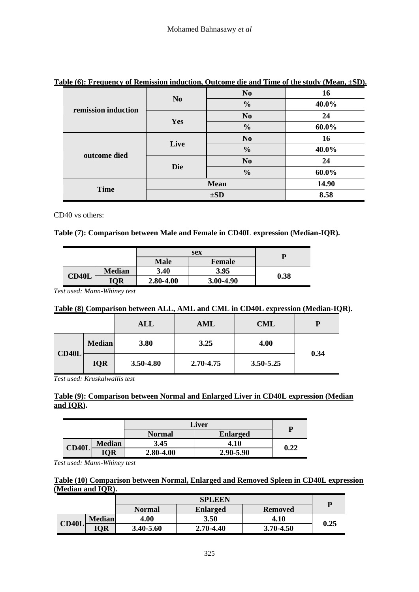| able $(0)$ . I requestly of Kennission muucuon, Outcome are and Thile of the statify $(1)$ really $\pm 0$ D $\mu$ |                                                   |                |       |
|-------------------------------------------------------------------------------------------------------------------|---------------------------------------------------|----------------|-------|
|                                                                                                                   | N <sub>0</sub><br>N <sub>0</sub><br>$\frac{0}{0}$ |                | 16    |
|                                                                                                                   |                                                   | 40.0%          |       |
| remission induction                                                                                               |                                                   | N <sub>0</sub> | 24    |
|                                                                                                                   | Yes                                               | $\frac{0}{0}$  | 60.0% |
|                                                                                                                   | Live                                              | N <sub>0</sub> | 16    |
|                                                                                                                   |                                                   | $\frac{0}{0}$  | 40.0% |
| outcome died                                                                                                      |                                                   | N <sub>0</sub> | 24    |
|                                                                                                                   | <b>Die</b><br>$\frac{0}{0}$                       |                | 60.0% |
|                                                                                                                   |                                                   | <b>Mean</b>    | 14.90 |
| <b>Time</b>                                                                                                       | $\pm SD$                                          |                | 8.58  |

#### **Table (6): Frequency of Remission induction, Outcome die and Time of the study (Mean, ±SD).**

CD40 vs others:

#### **Table (7): Comparison between Male and Female in CD40L expression (Median-IQR).**

|       |               | sex                   |           | D    |  |
|-------|---------------|-----------------------|-----------|------|--|
|       |               | <b>Male</b><br>Female |           |      |  |
|       | <b>Median</b> | 3.40                  | 3.95      |      |  |
| CD40L | IQR           | 2.80-4.00             | 3.00-4.90 | 0.38 |  |

*Test used: Mann-Whiney test*

#### **Table (8) Comparison between ALL, AML and CML in CD40L expression (Median-IQR).**

|       |               | <b>ALL</b> | <b>AML</b> | <b>CML</b> | P    |
|-------|---------------|------------|------------|------------|------|
|       | <b>Median</b> | 3.80       | 3.25       | 4.00       |      |
| CD40L | <b>IQR</b>    | 3.50-4.80  | 2.70-4.75  | 3.50-5.25  | 0.34 |

*Test used: Kruskalwallis test*

## **Table (9): Comparison between Normal and Enlarged Liver in CD40L expression (Median and IQR).**

|       | Liver         |               |                 |      |
|-------|---------------|---------------|-----------------|------|
|       |               | <b>Normal</b> | <b>Enlarged</b> |      |
| CD40L | <b>Median</b> | 3.45          | 4.10            | 0.22 |
|       | <b>IQR</b>    | 2.80-4.00     | 2.90-5.90       |      |

*Test used: Mann-Whiney test*

#### **Table (10) Comparison between Normal, Enlarged and Removed Spleen in CD40L expression (Median and IQR).**

|              |               | <b>SPLEEN</b> |                 |                |      |
|--------------|---------------|---------------|-----------------|----------------|------|
|              |               | <b>Normal</b> | <b>Enlarged</b> | <b>Removed</b> |      |
| <b>CD40L</b> | <b>Median</b> | 4.00          | 3.50            | 4.10           | 0.25 |
|              | <b>IOR</b>    | 3.40-5.60     | 2.70-4.40       | $3.70 - 4.50$  |      |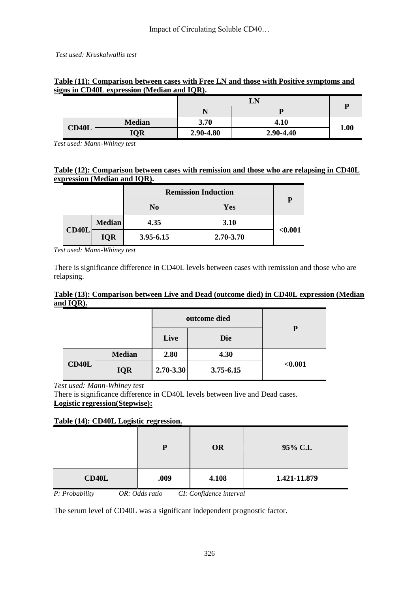| gns in CD40L expression (Median and IQR). |       |               |           |           |             |  |  |
|-------------------------------------------|-------|---------------|-----------|-----------|-------------|--|--|
|                                           |       |               |           | LN        |             |  |  |
|                                           |       |               |           |           |             |  |  |
|                                           |       | <b>Median</b> | 3.70      | 4.10      |             |  |  |
|                                           | CD40L | <b>IQR</b>    | 2.90-4.80 | 2.90-4.40 | <b>1.00</b> |  |  |

## **Table (11): Comparison between cases with Free LN and those with Positive symptoms and signs in CD40L expression (Median and IQR).**

*Test used: Mann-Whiney test*

## **Table (12): Comparison between cases with remission and those who are relapsing in CD40L expression (Median and IQR).**

|       |               | <b>Remission Induction</b> | P         |         |
|-------|---------------|----------------------------|-----------|---------|
|       |               | N <sub>0</sub>             | Yes       |         |
|       | <b>Median</b> | 4.35                       | 3.10      |         |
| CD40L | <b>IQR</b>    | $3.95 - 6.15$              | 2.70-3.70 | < 0.001 |

*Test used: Mann-Whiney test*

There is significance difference in CD40L levels between cases with remission and those who are relapsing.

## **Table (13): Comparison between Live and Dead (outcome died) in CD40L expression (Median and IQR).**

|       |               |               | outcome died |         |
|-------|---------------|---------------|--------------|---------|
|       |               | Live          | <b>Die</b>   | P       |
|       | <b>Median</b> | 2.80          | 4.30         |         |
| CD40L | <b>IQR</b>    | $2.70 - 3.30$ | 3.75-6.15    | < 0.001 |

*Test used: Mann-Whiney test*

There is significance difference in CD40L levels between live and Dead cases. **Logistic regression(Stepwise):**

# **Table (14): CD40L Logistic regression.**

|                     | P                  | <b>OR</b>                                | 95% C.I.     |
|---------------------|--------------------|------------------------------------------|--------------|
| CD40L               | .009               | 4.108                                    | 1.421-11.879 |
| $D.$ $D.$ $A.$ $A.$ | $AD.$ $A$ $A_2$ $$ | $CI, C, C, C, C, C, C, C, C, C, C, C, C$ |              |

*P: Probability OR: Odds ratio CI: Confidence interval*

The serum level of CD40L was a significant independent prognostic factor.